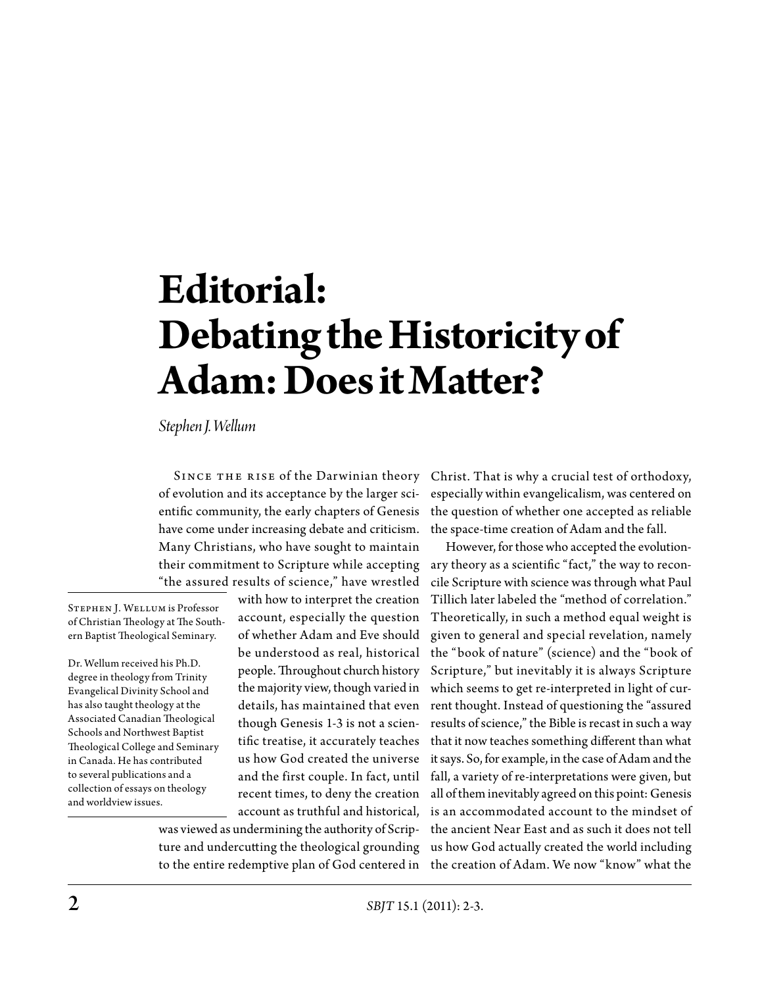## **Editorial: Debating the Historicity of Adam: Does it Matter?**

*Stephen J. Wellum*

SINCE THE RISE of the Darwinian theory of evolution and its acceptance by the larger scientific community, the early chapters of Genesis have come under increasing debate and criticism. Many Christians, who have sought to maintain their commitment to Scripture while accepting "the assured results of science," have wrestled

Stephen J. Wellum is Professor of Christian Theology at The Southern Baptist Theological Seminary.

Dr. Wellum received his Ph.D. degree in theology from Trinity Evangelical Divinity School and has also taught theology at the Associated Canadian Theological Schools and Northwest Baptist Theological College and Seminary in Canada. He has contributed to several publications and a collection of essays on theology and worldview issues.

with how to interpret the creation account, especially the question of whether Adam and Eve should be understood as real, historical people. Throughout church history the majority view, though varied in details, has maintained that even though Genesis 1-3 is not a scientific treatise, it accurately teaches us how God created the universe and the first couple. In fact, until recent times, to deny the creation account as truthful and historical,

was viewed as undermining the authority of Scripto the entire redemptive plan of God centered in the creation of Adam. We now "know" what the

Christ. That is why a crucial test of orthodoxy, especially within evangelicalism, was centered on the question of whether one accepted as reliable the space-time creation of Adam and the fall.

ture and undercutting the theological grounding us how God actually created the world including However, for those who accepted the evolutionary theory as a scientific "fact," the way to reconcile Scripture with science was through what Paul Tillich later labeled the "method of correlation." Theoretically, in such a method equal weight is given to general and special revelation, namely the "book of nature" (science) and the "book of Scripture," but inevitably it is always Scripture which seems to get re-interpreted in light of current thought. Instead of questioning the "assured results of science," the Bible is recast in such a way that it now teaches something different than what it says. So, for example, in the case of Adam and the fall, a variety of re-interpretations were given, but all of them inevitably agreed on this point: Genesis is an accommodated account to the mindset of the ancient Near East and as such it does not tell